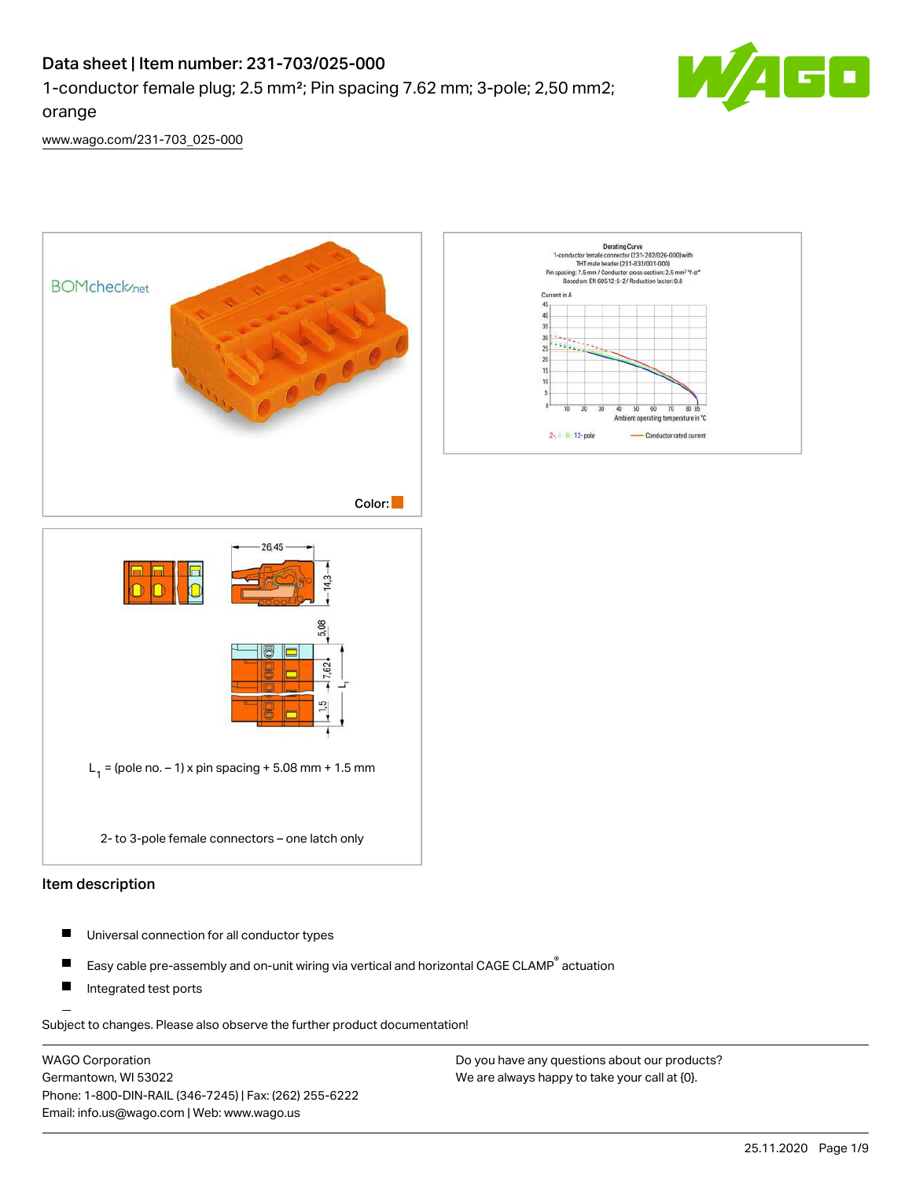## Data sheet | Item number: 231-703/025-000

1-conductor female plug; 2.5 mm²; Pin spacing 7.62 mm; 3-pole; 2,50 mm2;



[www.wago.com/231-703\\_025-000](http://www.wago.com/231-703_025-000)

orange



- П Universal connection for all conductor types
- Easy cable pre-assembly and on-unit wiring via vertical and horizontal CAGE CLAMP® actuation П
- $\blacksquare$ Integrated test ports

Subject to changes. Please also observe the further product documentation!

WAGO Corporation Germantown, WI 53022 Phone: 1-800-DIN-RAIL (346-7245) | Fax: (262) 255-6222 Email: info.us@wago.com | Web: www.wago.us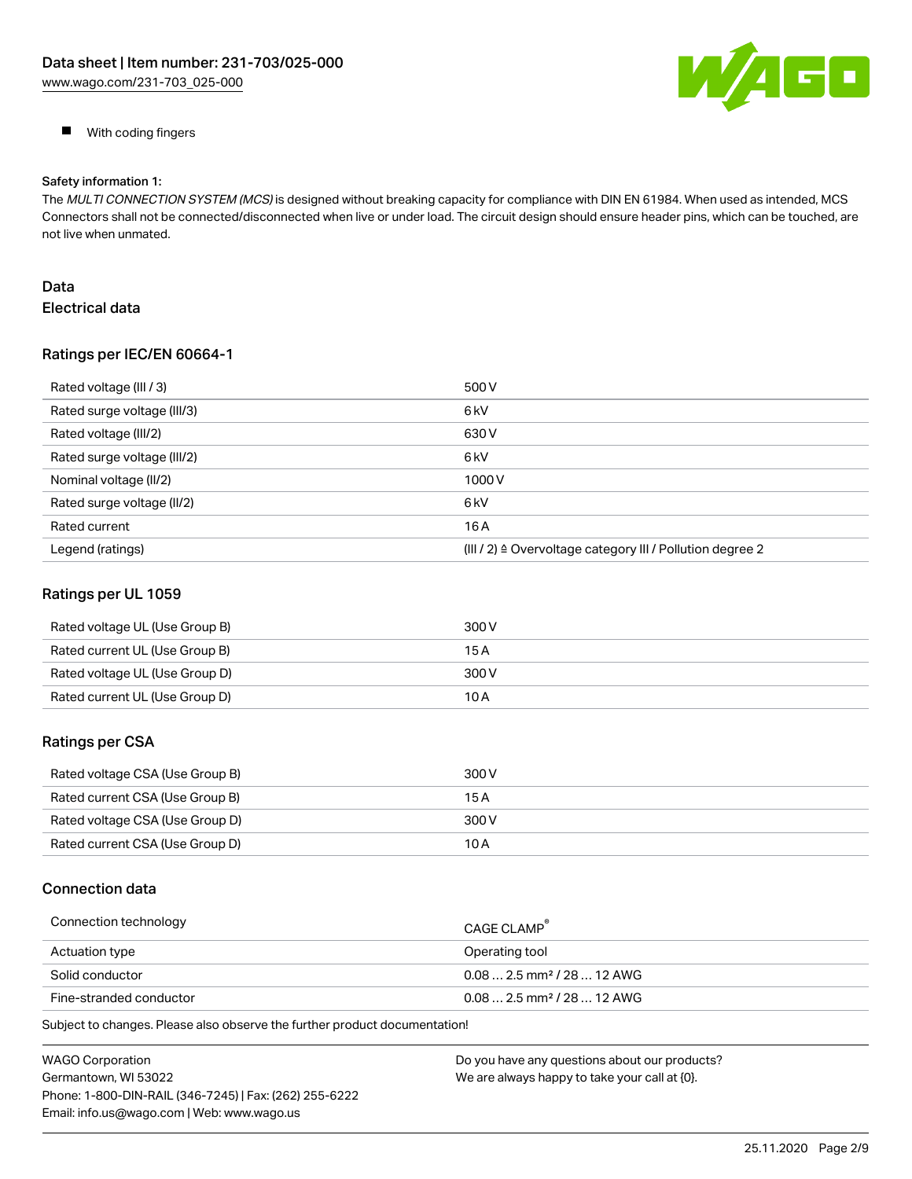

**With coding fingers** 

#### Safety information 1:

The MULTI CONNECTION SYSTEM (MCS) is designed without breaking capacity for compliance with DIN EN 61984. When used as intended, MCS Connectors shall not be connected/disconnected when live or under load. The circuit design should ensure header pins, which can be touched, are not live when unmated.

## Data Electrical data

#### Ratings per IEC/EN 60664-1

| Rated voltage (III / 3)     | 500 V                                                                |
|-----------------------------|----------------------------------------------------------------------|
| Rated surge voltage (III/3) | 6 <sub>k</sub> V                                                     |
| Rated voltage (III/2)       | 630 V                                                                |
| Rated surge voltage (III/2) | 6 <sub>kV</sub>                                                      |
| Nominal voltage (II/2)      | 1000V                                                                |
| Rated surge voltage (II/2)  | 6 <sub>k</sub> V                                                     |
| Rated current               | 16A                                                                  |
| Legend (ratings)            | (III / 2) $\triangleq$ Overvoltage category III / Pollution degree 2 |

## Ratings per UL 1059

| Rated voltage UL (Use Group B) | 300 V |
|--------------------------------|-------|
| Rated current UL (Use Group B) | 15 A  |
| Rated voltage UL (Use Group D) | 300 V |
| Rated current UL (Use Group D) | 10 A  |

## Ratings per CSA

| Rated voltage CSA (Use Group B) | 300 V |
|---------------------------------|-------|
| Rated current CSA (Use Group B) | 15 A  |
| Rated voltage CSA (Use Group D) | 300 V |
| Rated current CSA (Use Group D) | 10 A  |

## Connection data

| Connection technology   | CAGE CLAMP                             |
|-------------------------|----------------------------------------|
| Actuation type          | Operating tool                         |
| Solid conductor         | $0.082.5$ mm <sup>2</sup> / 28  12 AWG |
| Fine-stranded conductor | $0.082.5$ mm <sup>2</sup> / 28  12 AWG |

Subject to changes. Please also observe the further product documentation!

| <b>WAGO Corporation</b>                                | Do you have any questions about our products? |
|--------------------------------------------------------|-----------------------------------------------|
| Germantown, WI 53022                                   | We are always happy to take your call at {0}. |
| Phone: 1-800-DIN-RAIL (346-7245)   Fax: (262) 255-6222 |                                               |
| Email: info.us@wago.com   Web: www.wago.us             |                                               |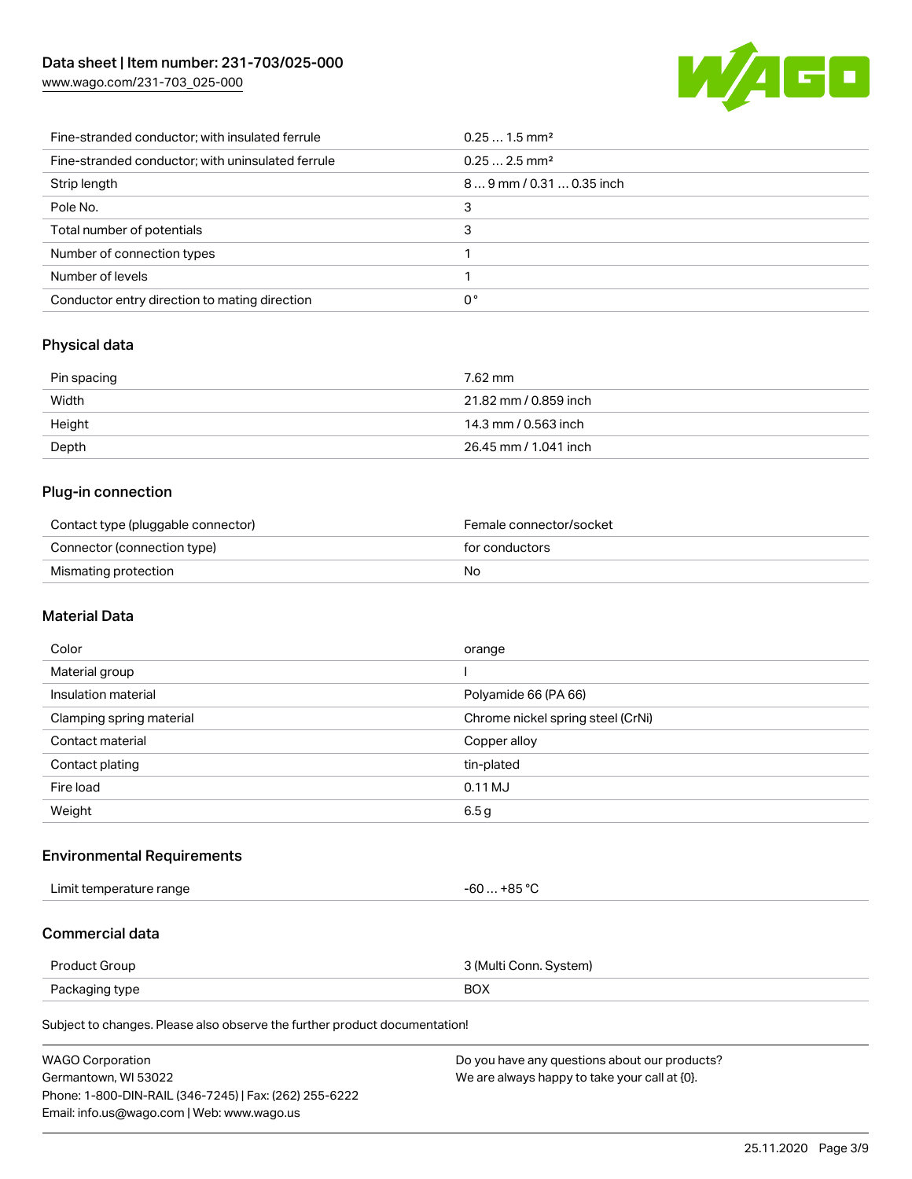[www.wago.com/231-703\\_025-000](http://www.wago.com/231-703_025-000)



| Fine-stranded conductor; with insulated ferrule   | $0.251.5$ mm <sup>2</sup> |
|---------------------------------------------------|---------------------------|
| Fine-stranded conductor; with uninsulated ferrule | $0.252.5$ mm <sup>2</sup> |
| Strip length                                      | 89 mm / 0.31  0.35 inch   |
| Pole No.                                          | 3                         |
| Total number of potentials                        | 3                         |
| Number of connection types                        |                           |
| Number of levels                                  |                           |
| Conductor entry direction to mating direction     | 0°                        |

## Physical data

| Pin spacing | 7.62 mm               |
|-------------|-----------------------|
| Width       | 21.82 mm / 0.859 inch |
| Height      | 14.3 mm / 0.563 inch  |
| Depth       | 26.45 mm / 1.041 inch |

## Plug-in connection

| Contact type (pluggable connector) | Female connector/socket |
|------------------------------------|-------------------------|
| Connector (connection type)        | for conductors          |
| Mismating protection               | No                      |

## Material Data

| Color                    | orange                            |
|--------------------------|-----------------------------------|
| Material group           |                                   |
| Insulation material      | Polyamide 66 (PA 66)              |
| Clamping spring material | Chrome nickel spring steel (CrNi) |
| Contact material         | Copper alloy                      |
| Contact plating          | tin-plated                        |
| Fire load                | $0.11$ MJ                         |
| Weight                   | 6.5g                              |

## Environmental Requirements

Limit temperature range  $-60...+85$  °C

## Commercial data

| Product Group  | 3 (Multi Conn. System) |
|----------------|------------------------|
| Packaging type | <b>BOX</b>             |

Subject to changes. Please also observe the further product documentation!

| <b>WAGO Corporation</b>                                | Do you have any questions about our products? |
|--------------------------------------------------------|-----------------------------------------------|
| Germantown, WI 53022                                   | We are always happy to take your call at {0}. |
| Phone: 1-800-DIN-RAIL (346-7245)   Fax: (262) 255-6222 |                                               |
| Email: info.us@wago.com   Web: www.wago.us             |                                               |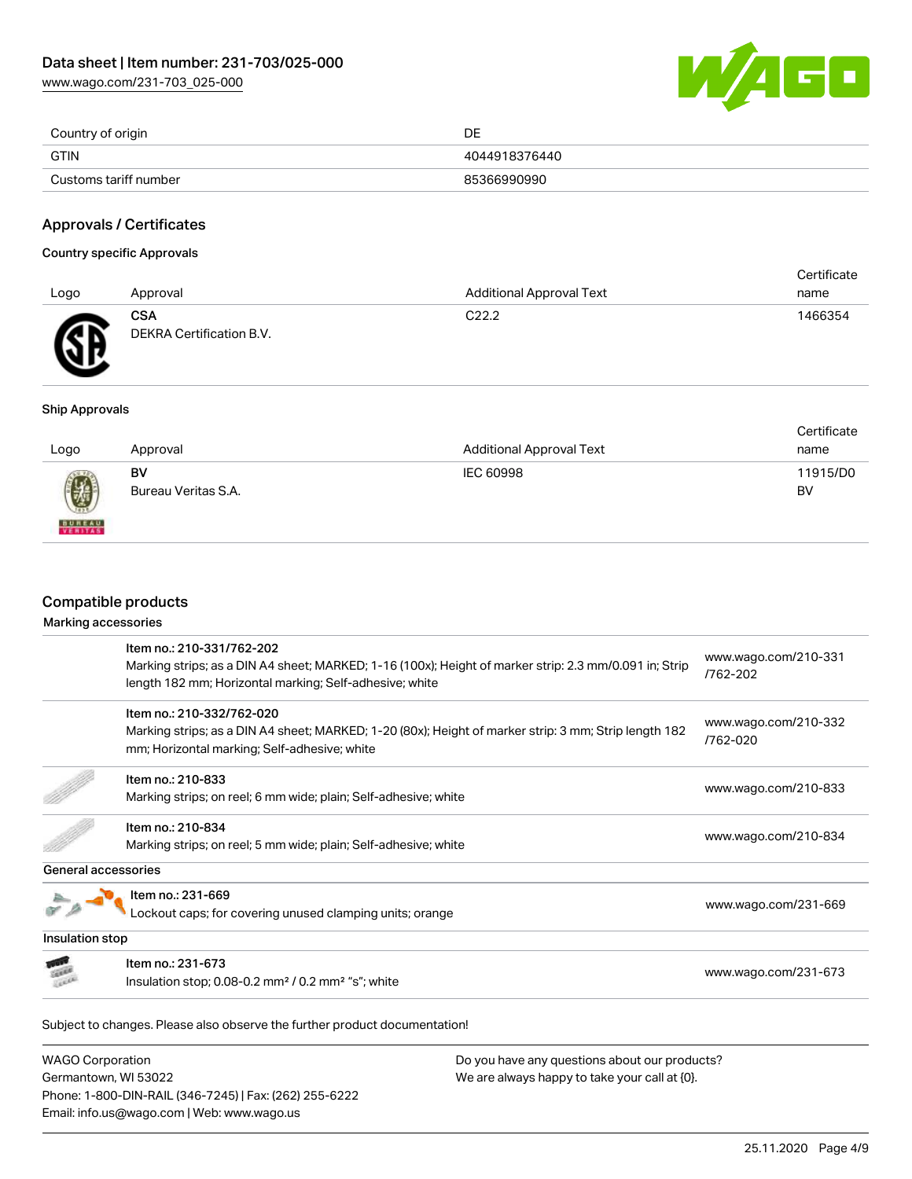[www.wago.com/231-703\\_025-000](http://www.wago.com/231-703_025-000)



| Country of origin     | DE            |
|-----------------------|---------------|
| <b>GTIN</b>           | 4044918376440 |
| Customs tariff number | 85366990990   |

## Approvals / Certificates

#### Country specific Approvals

| Logo | Approval                               | <b>Additional Approval Text</b> | Certificate<br>name |
|------|----------------------------------------|---------------------------------|---------------------|
| Æ    | <b>CSA</b><br>DEKRA Certification B.V. | C <sub>22.2</sub>               | 1466354             |

#### Ship Approvals

| Logo          | Approval            | <b>Additional Approval Text</b> | Certificate<br>name |
|---------------|---------------------|---------------------------------|---------------------|
| 0             | BV                  | IEC 60998                       | 11915/D0            |
| <b>BUREAU</b> | Bureau Veritas S.A. |                                 | BV                  |

## Compatible products

#### Marking accessories

|                     | Item no.: 210-331/762-202                                                                              | www.wago.com/210-331             |  |
|---------------------|--------------------------------------------------------------------------------------------------------|----------------------------------|--|
|                     | Marking strips; as a DIN A4 sheet; MARKED; 1-16 (100x); Height of marker strip: 2.3 mm/0.091 in; Strip | /762-202                         |  |
|                     | length 182 mm; Horizontal marking; Self-adhesive; white                                                |                                  |  |
|                     | Item no.: 210-332/762-020                                                                              |                                  |  |
|                     | Marking strips; as a DIN A4 sheet; MARKED; 1-20 (80x); Height of marker strip: 3 mm; Strip length 182  | www.wago.com/210-332<br>/762-020 |  |
|                     | mm; Horizontal marking; Self-adhesive; white                                                           |                                  |  |
|                     | Item no.: 210-833                                                                                      |                                  |  |
|                     | Marking strips; on reel; 6 mm wide; plain; Self-adhesive; white                                        | www.wago.com/210-833             |  |
|                     | Item no.: 210-834                                                                                      |                                  |  |
|                     | Marking strips; on reel; 5 mm wide; plain; Self-adhesive; white                                        | www.wago.com/210-834             |  |
| General accessories |                                                                                                        |                                  |  |
|                     | Item no.: 231-669                                                                                      |                                  |  |
|                     | ockout caps; for covering unused clamping units; orange                                                | www.wago.com/231-669             |  |
| Insulation stop     |                                                                                                        |                                  |  |
|                     | Item no.: 231-673                                                                                      |                                  |  |
|                     | Insulation stop; $0.08-0.2$ mm <sup>2</sup> / $0.2$ mm <sup>2</sup> "s"; white                         | www.wago.com/231-673             |  |

| <b>WAGO Corporation</b>                                |
|--------------------------------------------------------|
| Germantown, WI 53022                                   |
| Phone: 1-800-DIN-RAIL (346-7245)   Fax: (262) 255-6222 |
| Email: info.us@wago.com   Web: www.wago.us             |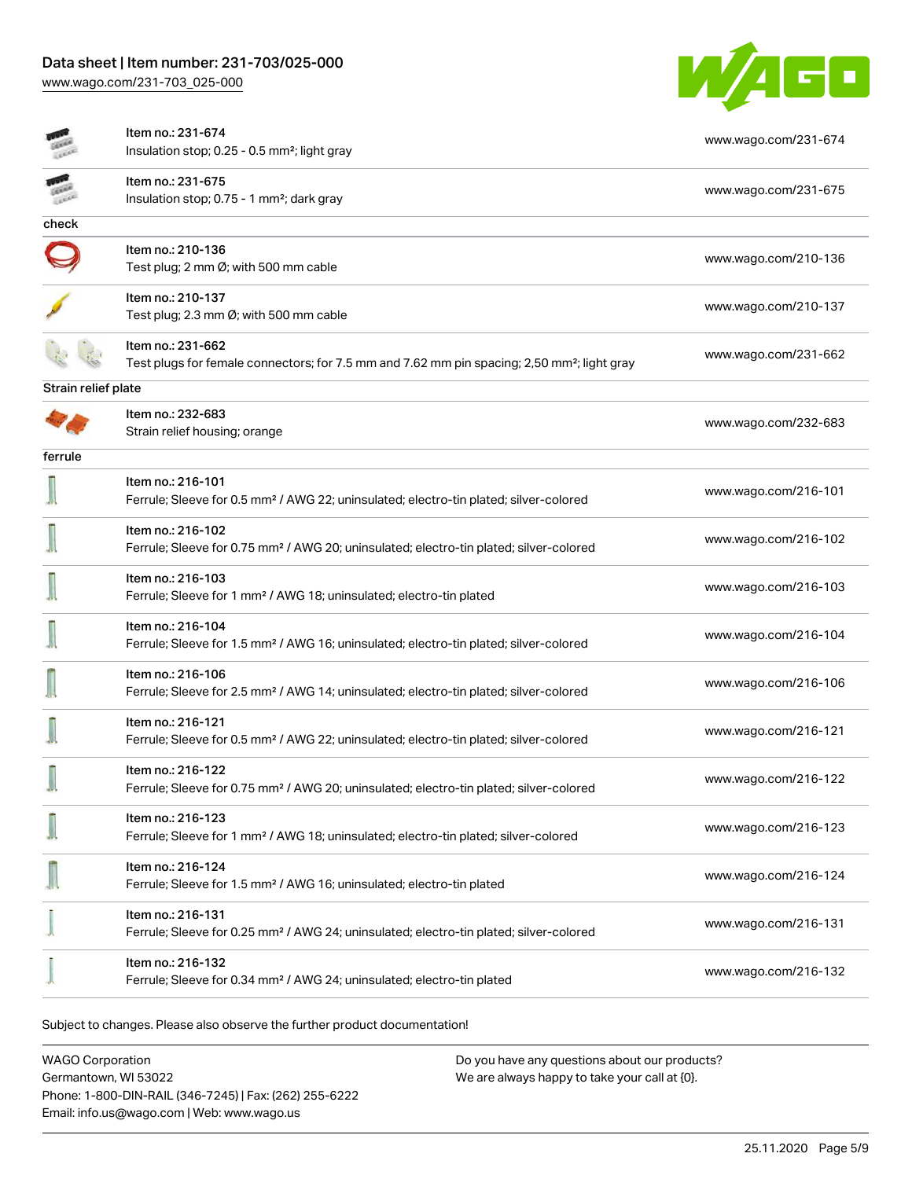# Data sheet | Item number: 231-703/025-000

[www.wago.com/231-703\\_025-000](http://www.wago.com/231-703_025-000)



|                     | Item no.: 231-674                                                                                                       | www.wago.com/231-674 |
|---------------------|-------------------------------------------------------------------------------------------------------------------------|----------------------|
|                     | Insulation stop; 0.25 - 0.5 mm <sup>2</sup> ; light gray                                                                |                      |
|                     | Item no.: 231-675                                                                                                       | www.wago.com/231-675 |
|                     | Insulation stop; 0.75 - 1 mm <sup>2</sup> ; dark gray                                                                   |                      |
| check               |                                                                                                                         |                      |
|                     | Item no.: 210-136                                                                                                       | www.wago.com/210-136 |
|                     | Test plug; 2 mm Ø; with 500 mm cable                                                                                    |                      |
|                     | Item no.: 210-137                                                                                                       |                      |
|                     | Test plug; 2.3 mm Ø; with 500 mm cable                                                                                  | www.wago.com/210-137 |
|                     | Item no.: 231-662                                                                                                       |                      |
|                     | Test plugs for female connectors; for 7.5 mm and 7.62 mm pin spacing; 2,50 mm <sup>2</sup> ; light gray                 | www.wago.com/231-662 |
| Strain relief plate |                                                                                                                         |                      |
|                     | Item no.: 232-683                                                                                                       | www.wago.com/232-683 |
|                     | Strain relief housing; orange                                                                                           |                      |
| ferrule             |                                                                                                                         |                      |
|                     | Item no.: 216-101                                                                                                       | www.wago.com/216-101 |
|                     | Ferrule; Sleeve for 0.5 mm <sup>2</sup> / AWG 22; uninsulated; electro-tin plated; silver-colored                       |                      |
|                     | Item no.: 216-102                                                                                                       | www.wago.com/216-102 |
|                     | Ferrule; Sleeve for 0.75 mm <sup>2</sup> / AWG 20; uninsulated; electro-tin plated; silver-colored                      |                      |
|                     | Item no.: 216-103                                                                                                       |                      |
|                     | Ferrule; Sleeve for 1 mm <sup>2</sup> / AWG 18; uninsulated; electro-tin plated                                         | www.wago.com/216-103 |
|                     | Item no.: 216-104                                                                                                       |                      |
|                     | Ferrule; Sleeve for 1.5 mm <sup>2</sup> / AWG 16; uninsulated; electro-tin plated; silver-colored                       | www.wago.com/216-104 |
|                     | Item no.: 216-106                                                                                                       |                      |
|                     | Ferrule; Sleeve for 2.5 mm <sup>2</sup> / AWG 14; uninsulated; electro-tin plated; silver-colored                       | www.wago.com/216-106 |
|                     | Item no.: 216-121                                                                                                       |                      |
|                     | Ferrule; Sleeve for 0.5 mm <sup>2</sup> / AWG 22; uninsulated; electro-tin plated; silver-colored                       | www.wago.com/216-121 |
|                     | Item no.: 216-122                                                                                                       |                      |
|                     | Ferrule; Sleeve for 0.75 mm <sup>2</sup> / AWG 20; uninsulated; electro-tin plated; silver-colored                      | www.wago.com/216-122 |
|                     | Item no.: 216-123                                                                                                       |                      |
|                     | Ferrule; Sleeve for 1 mm <sup>2</sup> / AWG 18; uninsulated; electro-tin plated; silver-colored                         | www.wago.com/216-123 |
|                     | Item no.: 216-124                                                                                                       |                      |
|                     | Ferrule; Sleeve for 1.5 mm <sup>2</sup> / AWG 16; uninsulated; electro-tin plated                                       | www.wago.com/216-124 |
|                     |                                                                                                                         |                      |
|                     | Item no.: 216-131<br>Ferrule; Sleeve for 0.25 mm <sup>2</sup> / AWG 24; uninsulated; electro-tin plated; silver-colored | www.wago.com/216-131 |
|                     |                                                                                                                         |                      |
|                     | Item no.: 216-132<br>Ferrule; Sleeve for 0.34 mm <sup>2</sup> / AWG 24; uninsulated; electro-tin plated                 | www.wago.com/216-132 |
|                     |                                                                                                                         |                      |

Subject to changes. Please also observe the further product documentation!

WAGO Corporation Germantown, WI 53022 Phone: 1-800-DIN-RAIL (346-7245) | Fax: (262) 255-6222 Email: info.us@wago.com | Web: www.wago.us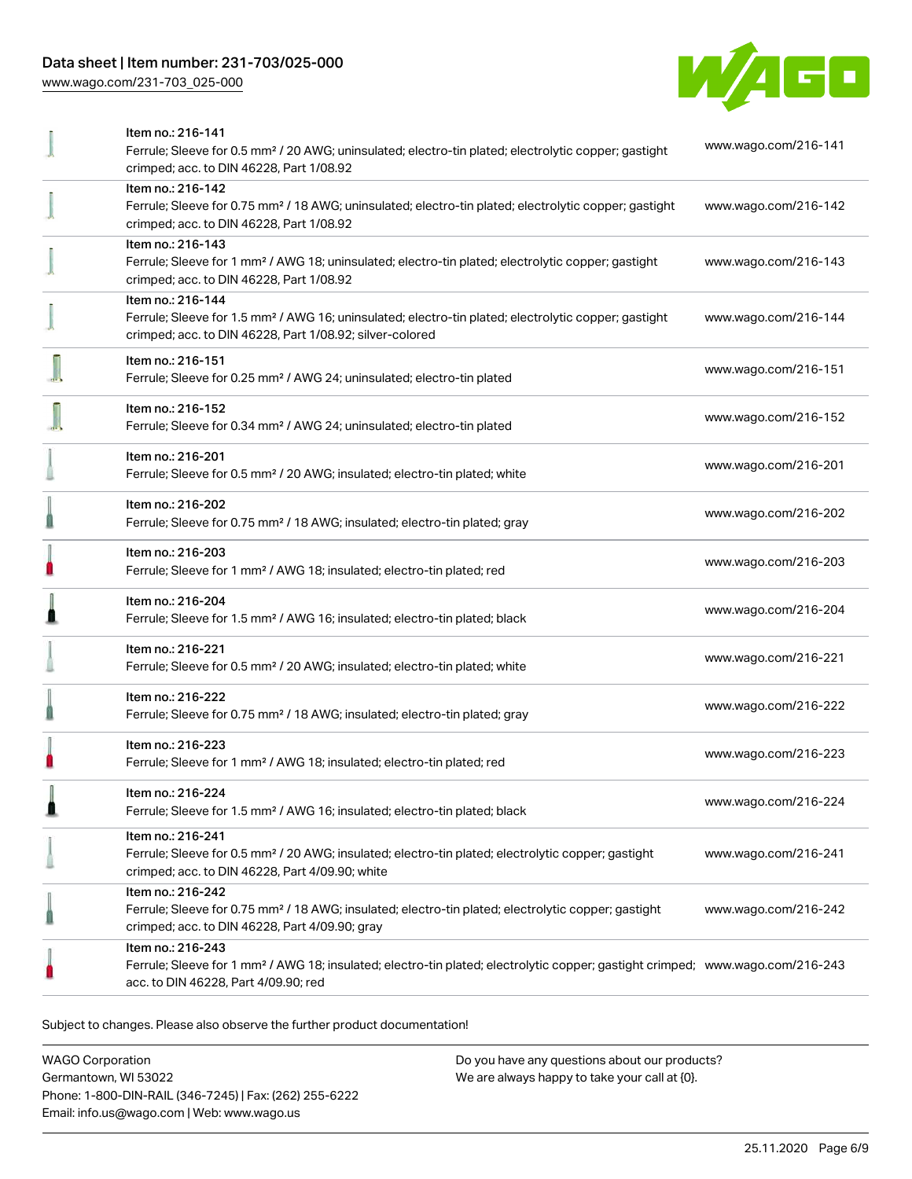## Data sheet | Item number: 231-703/025-000

[www.wago.com/231-703\\_025-000](http://www.wago.com/231-703_025-000)



|   | Item no.: 216-141                                                                                                                          |                      |
|---|--------------------------------------------------------------------------------------------------------------------------------------------|----------------------|
|   | Ferrule; Sleeve for 0.5 mm <sup>2</sup> / 20 AWG; uninsulated; electro-tin plated; electrolytic copper; gastight                           | www.wago.com/216-141 |
|   | crimped; acc. to DIN 46228, Part 1/08.92                                                                                                   |                      |
|   | Item no.: 216-142                                                                                                                          |                      |
|   | Ferrule; Sleeve for 0.75 mm <sup>2</sup> / 18 AWG; uninsulated; electro-tin plated; electrolytic copper; gastight                          | www.wago.com/216-142 |
|   | crimped; acc. to DIN 46228, Part 1/08.92                                                                                                   |                      |
|   | Item no.: 216-143                                                                                                                          |                      |
|   | Ferrule; Sleeve for 1 mm <sup>2</sup> / AWG 18; uninsulated; electro-tin plated; electrolytic copper; gastight                             | www.wago.com/216-143 |
|   | crimped; acc. to DIN 46228, Part 1/08.92                                                                                                   |                      |
|   | Item no.: 216-144                                                                                                                          |                      |
|   | Ferrule; Sleeve for 1.5 mm <sup>2</sup> / AWG 16; uninsulated; electro-tin plated; electrolytic copper; gastight                           | www.wago.com/216-144 |
|   | crimped; acc. to DIN 46228, Part 1/08.92; silver-colored                                                                                   |                      |
|   |                                                                                                                                            |                      |
|   | Item no.: 216-151                                                                                                                          | www.wago.com/216-151 |
|   | Ferrule; Sleeve for 0.25 mm <sup>2</sup> / AWG 24; uninsulated; electro-tin plated                                                         |                      |
|   |                                                                                                                                            |                      |
|   | Item no.: 216-152                                                                                                                          | www.wago.com/216-152 |
|   | Ferrule; Sleeve for 0.34 mm <sup>2</sup> / AWG 24; uninsulated; electro-tin plated                                                         |                      |
|   | Item no.: 216-201                                                                                                                          |                      |
|   | Ferrule; Sleeve for 0.5 mm <sup>2</sup> / 20 AWG; insulated; electro-tin plated; white                                                     | www.wago.com/216-201 |
|   |                                                                                                                                            |                      |
|   | Item no.: 216-202                                                                                                                          | www.wago.com/216-202 |
|   | Ferrule; Sleeve for 0.75 mm <sup>2</sup> / 18 AWG; insulated; electro-tin plated; gray                                                     |                      |
|   | Item no.: 216-203                                                                                                                          |                      |
|   | Ferrule; Sleeve for 1 mm <sup>2</sup> / AWG 18; insulated; electro-tin plated; red                                                         | www.wago.com/216-203 |
|   |                                                                                                                                            |                      |
|   | Item no.: 216-204                                                                                                                          |                      |
|   | Ferrule; Sleeve for 1.5 mm <sup>2</sup> / AWG 16; insulated; electro-tin plated; black                                                     | www.wago.com/216-204 |
|   |                                                                                                                                            |                      |
|   | Item no.: 216-221                                                                                                                          | www.wago.com/216-221 |
|   | Ferrule; Sleeve for 0.5 mm <sup>2</sup> / 20 AWG; insulated; electro-tin plated; white                                                     |                      |
|   | Item no.: 216-222                                                                                                                          |                      |
|   | Ferrule; Sleeve for 0.75 mm <sup>2</sup> / 18 AWG; insulated; electro-tin plated; gray                                                     | www.wago.com/216-222 |
|   |                                                                                                                                            |                      |
|   | Item no.: 216-223                                                                                                                          | www.wago.com/216-223 |
|   | Ferrule; Sleeve for 1 mm <sup>2</sup> / AWG 18; insulated; electro-tin plated; red                                                         |                      |
| n |                                                                                                                                            |                      |
|   | Item no.: 216-224                                                                                                                          | www.wago.com/216-224 |
|   | Ferrule; Sleeve for 1.5 mm <sup>2</sup> / AWG 16; insulated; electro-tin plated; black                                                     |                      |
|   | Item no.: 216-241                                                                                                                          |                      |
|   | Ferrule; Sleeve for 0.5 mm <sup>2</sup> / 20 AWG; insulated; electro-tin plated; electrolytic copper; gastight                             | www.wago.com/216-241 |
|   | crimped; acc. to DIN 46228, Part 4/09.90; white                                                                                            |                      |
|   | Item no.: 216-242                                                                                                                          |                      |
|   | Ferrule; Sleeve for 0.75 mm <sup>2</sup> / 18 AWG; insulated; electro-tin plated; electrolytic copper; gastight                            | www.wago.com/216-242 |
|   | crimped; acc. to DIN 46228, Part 4/09.90; gray                                                                                             |                      |
|   | Item no.: 216-243                                                                                                                          |                      |
|   | Ferrule; Sleeve for 1 mm <sup>2</sup> / AWG 18; insulated; electro-tin plated; electrolytic copper; gastight crimped; www.wago.com/216-243 |                      |
|   | acc. to DIN 46228, Part 4/09.90; red                                                                                                       |                      |
|   |                                                                                                                                            |                      |

Subject to changes. Please also observe the further product documentation!

WAGO Corporation Germantown, WI 53022 Phone: 1-800-DIN-RAIL (346-7245) | Fax: (262) 255-6222 Email: info.us@wago.com | Web: www.wago.us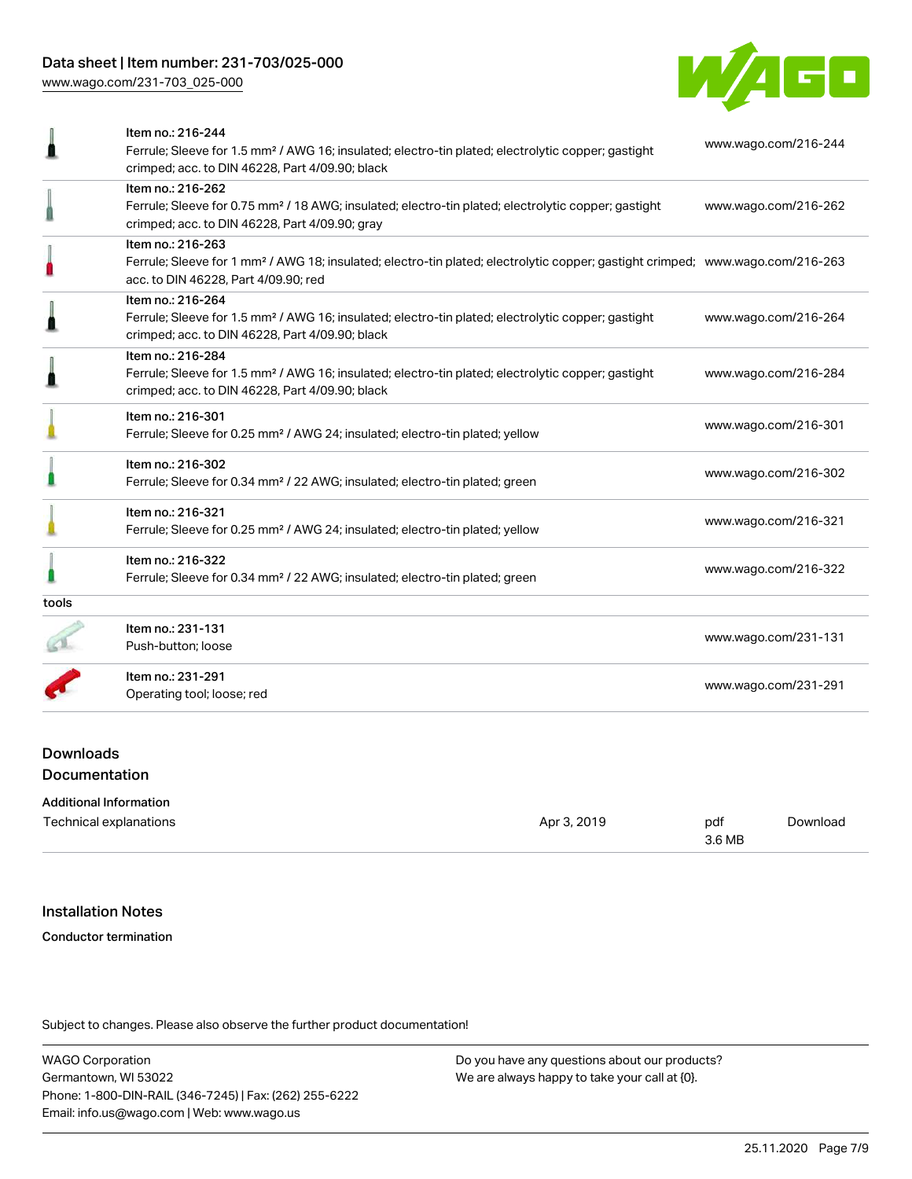[www.wago.com/231-703\\_025-000](http://www.wago.com/231-703_025-000)



|       | Item no.: 216-244                                                                                                                          |                      |
|-------|--------------------------------------------------------------------------------------------------------------------------------------------|----------------------|
|       | Ferrule; Sleeve for 1.5 mm <sup>2</sup> / AWG 16; insulated; electro-tin plated; electrolytic copper; gastight                             | www.wago.com/216-244 |
|       | crimped; acc. to DIN 46228, Part 4/09.90; black                                                                                            |                      |
|       | Item no.: 216-262                                                                                                                          |                      |
|       | Ferrule; Sleeve for 0.75 mm <sup>2</sup> / 18 AWG; insulated; electro-tin plated; electrolytic copper; gastight                            | www.wago.com/216-262 |
|       | crimped; acc. to DIN 46228, Part 4/09.90; gray                                                                                             |                      |
|       | Item no.: 216-263                                                                                                                          |                      |
|       | Ferrule; Sleeve for 1 mm <sup>2</sup> / AWG 18; insulated; electro-tin plated; electrolytic copper; gastight crimped; www.wago.com/216-263 |                      |
|       | acc. to DIN 46228, Part 4/09.90; red                                                                                                       |                      |
|       | Item no.: 216-264                                                                                                                          |                      |
|       | Ferrule; Sleeve for 1.5 mm <sup>2</sup> / AWG 16; insulated; electro-tin plated; electrolytic copper; gastight                             | www.wago.com/216-264 |
|       | crimped; acc. to DIN 46228, Part 4/09.90; black                                                                                            |                      |
|       | Item no.: 216-284                                                                                                                          |                      |
|       | Ferrule; Sleeve for 1.5 mm <sup>2</sup> / AWG 16; insulated; electro-tin plated; electrolytic copper; gastight                             | www.wago.com/216-284 |
|       | crimped; acc. to DIN 46228, Part 4/09.90; black                                                                                            |                      |
|       | Item no.: 216-301                                                                                                                          |                      |
|       | Ferrule; Sleeve for 0.25 mm <sup>2</sup> / AWG 24; insulated; electro-tin plated; yellow                                                   | www.wago.com/216-301 |
|       | Item no.: 216-302                                                                                                                          | www.wago.com/216-302 |
|       | Ferrule; Sleeve for 0.34 mm <sup>2</sup> / 22 AWG; insulated; electro-tin plated; green                                                    |                      |
|       | Item no.: 216-321                                                                                                                          | www.wago.com/216-321 |
|       | Ferrule; Sleeve for 0.25 mm <sup>2</sup> / AWG 24; insulated; electro-tin plated; yellow                                                   |                      |
|       | Item no.: 216-322                                                                                                                          |                      |
|       | Ferrule; Sleeve for 0.34 mm <sup>2</sup> / 22 AWG; insulated; electro-tin plated; green                                                    | www.wago.com/216-322 |
| tools |                                                                                                                                            |                      |
|       | Item no.: 231-131                                                                                                                          |                      |
|       | Push-button; loose                                                                                                                         | www.wago.com/231-131 |
|       | Item no.: 231-291                                                                                                                          |                      |
|       | Operating tool; loose; red                                                                                                                 | www.wago.com/231-291 |

## Downloads Documentation

| <b>Additional Information</b> |             |               |          |
|-------------------------------|-------------|---------------|----------|
| Technical explanations        | Apr 3, 2019 | pdf<br>3.6 MB | Download |
|                               |             |               |          |

#### Installation Notes

#### Conductor termination

Subject to changes. Please also observe the further product documentation!

WAGO Corporation Germantown, WI 53022 Phone: 1-800-DIN-RAIL (346-7245) | Fax: (262) 255-6222 Email: info.us@wago.com | Web: www.wago.us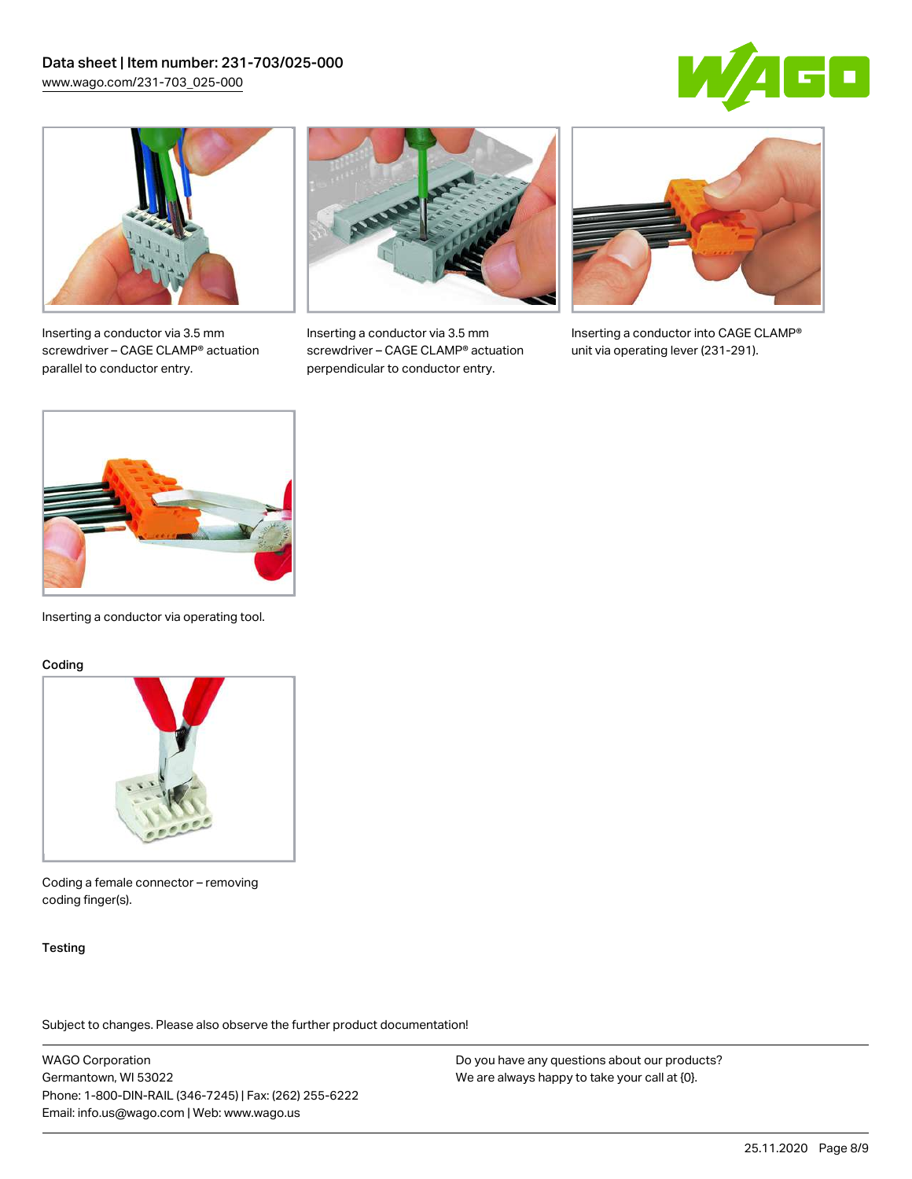



Inserting a conductor via 3.5 mm screwdriver – CAGE CLAMP® actuation parallel to conductor entry.



Inserting a conductor via 3.5 mm screwdriver – CAGE CLAMP® actuation perpendicular to conductor entry.



Inserting a conductor into CAGE CLAMP® unit via operating lever (231-291).



Inserting a conductor via operating tool.

#### Coding



Coding a female connector – removing coding finger(s).

#### **Testing**

Subject to changes. Please also observe the further product documentation!

WAGO Corporation Germantown, WI 53022 Phone: 1-800-DIN-RAIL (346-7245) | Fax: (262) 255-6222 Email: info.us@wago.com | Web: www.wago.us